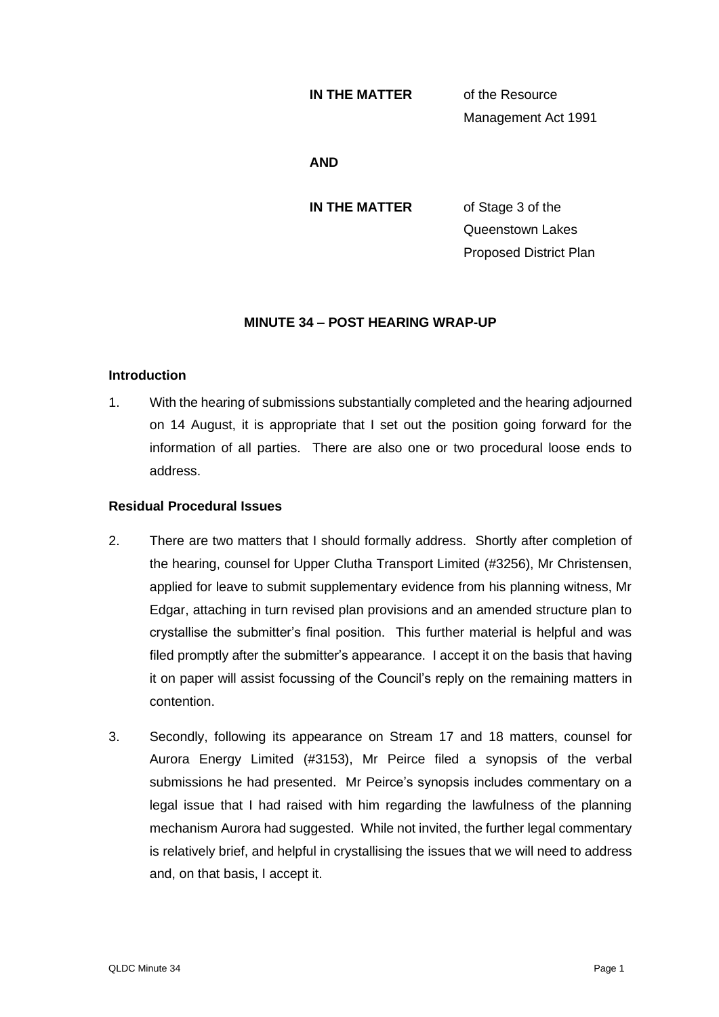### **IN THE MATTER** of the Resource

Management Act 1991

### **AND**

**IN THE MATTER** of Stage 3 of the

Queenstown Lakes Proposed District Plan

# **MINUTE 34 – POST HEARING WRAP-UP**

## **Introduction**

1. With the hearing of submissions substantially completed and the hearing adjourned on 14 August, it is appropriate that I set out the position going forward for the information of all parties. There are also one or two procedural loose ends to address.

# **Residual Procedural Issues**

- 2. There are two matters that I should formally address. Shortly after completion of the hearing, counsel for Upper Clutha Transport Limited (#3256), Mr Christensen, applied for leave to submit supplementary evidence from his planning witness, Mr Edgar, attaching in turn revised plan provisions and an amended structure plan to crystallise the submitter's final position. This further material is helpful and was filed promptly after the submitter's appearance. I accept it on the basis that having it on paper will assist focussing of the Council's reply on the remaining matters in contention.
- 3. Secondly, following its appearance on Stream 17 and 18 matters, counsel for Aurora Energy Limited (#3153), Mr Peirce filed a synopsis of the verbal submissions he had presented. Mr Peirce's synopsis includes commentary on a legal issue that I had raised with him regarding the lawfulness of the planning mechanism Aurora had suggested. While not invited, the further legal commentary is relatively brief, and helpful in crystallising the issues that we will need to address and, on that basis, I accept it.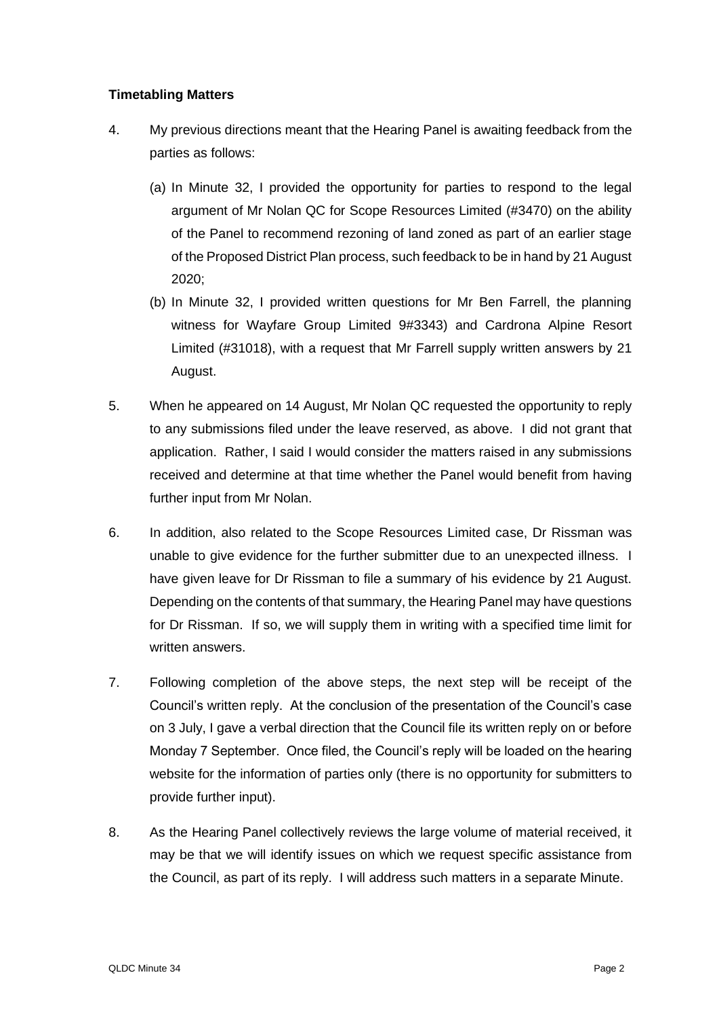# **Timetabling Matters**

- 4. My previous directions meant that the Hearing Panel is awaiting feedback from the parties as follows:
	- (a) In Minute 32, I provided the opportunity for parties to respond to the legal argument of Mr Nolan QC for Scope Resources Limited (#3470) on the ability of the Panel to recommend rezoning of land zoned as part of an earlier stage of the Proposed District Plan process, such feedback to be in hand by 21 August 2020;
	- (b) In Minute 32, I provided written questions for Mr Ben Farrell, the planning witness for Wayfare Group Limited 9#3343) and Cardrona Alpine Resort Limited (#31018), with a request that Mr Farrell supply written answers by 21 August.
- 5. When he appeared on 14 August, Mr Nolan QC requested the opportunity to reply to any submissions filed under the leave reserved, as above. I did not grant that application. Rather, I said I would consider the matters raised in any submissions received and determine at that time whether the Panel would benefit from having further input from Mr Nolan.
- 6. In addition, also related to the Scope Resources Limited case, Dr Rissman was unable to give evidence for the further submitter due to an unexpected illness. I have given leave for Dr Rissman to file a summary of his evidence by 21 August. Depending on the contents of that summary, the Hearing Panel may have questions for Dr Rissman. If so, we will supply them in writing with a specified time limit for written answers.
- 7. Following completion of the above steps, the next step will be receipt of the Council's written reply. At the conclusion of the presentation of the Council's case on 3 July, I gave a verbal direction that the Council file its written reply on or before Monday 7 September. Once filed, the Council's reply will be loaded on the hearing website for the information of parties only (there is no opportunity for submitters to provide further input).
- 8. As the Hearing Panel collectively reviews the large volume of material received, it may be that we will identify issues on which we request specific assistance from the Council, as part of its reply. I will address such matters in a separate Minute.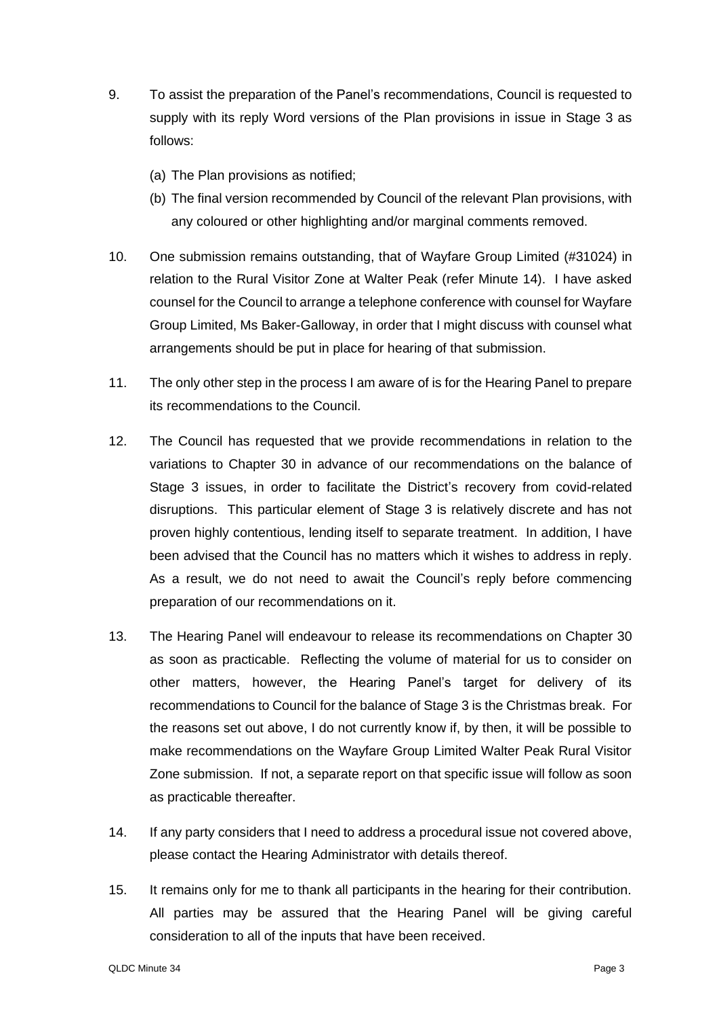- 9. To assist the preparation of the Panel's recommendations, Council is requested to supply with its reply Word versions of the Plan provisions in issue in Stage 3 as follows:
	- (a) The Plan provisions as notified;
	- (b) The final version recommended by Council of the relevant Plan provisions, with any coloured or other highlighting and/or marginal comments removed.
- 10. One submission remains outstanding, that of Wayfare Group Limited (#31024) in relation to the Rural Visitor Zone at Walter Peak (refer Minute 14). I have asked counsel for the Council to arrange a telephone conference with counsel for Wayfare Group Limited, Ms Baker-Galloway, in order that I might discuss with counsel what arrangements should be put in place for hearing of that submission.
- 11. The only other step in the process I am aware of is for the Hearing Panel to prepare its recommendations to the Council.
- 12. The Council has requested that we provide recommendations in relation to the variations to Chapter 30 in advance of our recommendations on the balance of Stage 3 issues, in order to facilitate the District's recovery from covid-related disruptions. This particular element of Stage 3 is relatively discrete and has not proven highly contentious, lending itself to separate treatment. In addition, I have been advised that the Council has no matters which it wishes to address in reply. As a result, we do not need to await the Council's reply before commencing preparation of our recommendations on it.
- 13. The Hearing Panel will endeavour to release its recommendations on Chapter 30 as soon as practicable. Reflecting the volume of material for us to consider on other matters, however, the Hearing Panel's target for delivery of its recommendations to Council for the balance of Stage 3 is the Christmas break. For the reasons set out above, I do not currently know if, by then, it will be possible to make recommendations on the Wayfare Group Limited Walter Peak Rural Visitor Zone submission. If not, a separate report on that specific issue will follow as soon as practicable thereafter.
- 14. If any party considers that I need to address a procedural issue not covered above, please contact the Hearing Administrator with details thereof.
- 15. It remains only for me to thank all participants in the hearing for their contribution. All parties may be assured that the Hearing Panel will be giving careful consideration to all of the inputs that have been received.